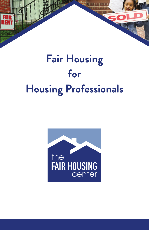# **Fair Housing for Housing Professionals**

Fne

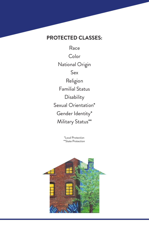### **PROTECTED CLASSES:**

Race Color National Origin Sex Religion Familial Status **Disability** Sexual Orientation\* Gender Identity\* Military Status\*\*

> \*Local Protection \*\*State Protection

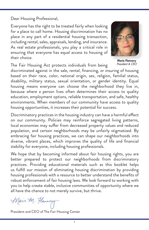Dear Housing Professional,

Everyone has the right to be treated fairly when looking for a place to call home. Housing discrimination has no place in any part of a residential housing transaction, including rental, sales, appraisals, lending, and insurance. As real estate professionals, you play a critical role in ensuring that everyone has equal access to housing of their choice.



Marie Flannery President & CEO

The Fair Housing Act protects individuals from being

discriminated against in the sale, rental, financing, or insuring of housing based on their race, color, national origin, sex, religion, familial status, disability, military status, sexual orientation, or gender identity. Equal housing means everyone can choose the neighborhood they live in, because where a person lives often determines their access to quality education, employment options, reliable transportation, and safe, healthy environments. When members of our community have access to quality housing opportunities, it increases their potential for success.

Discriminatory practices in the housing industry can have a harmful effect on our community. Policies may reinforce segregated living patterns, local economies may suffer from decreased property values and reduced population, and certain neighborhoods may be unfairly stigmatized. By embracing fair housing practices, we can shape our neighborhoods into diverse, vibrant places, which improves the quality of life and financial stability for everyone, including housing professionals.

We hope that by becoming informed about fair housing rights, you are better prepared to protect our neighborhoods from discriminatory practices. Providing educational materials such as this booklet helps us fulfill our mission of eliminating housing discrimination by providing housing professionals with a resource to better understand the benefits of robust enforcement of fair housing laws. We look forward to working with you to help create stable, inclusive communities of opportunity where we all have the chance to not merely survive, but thrive.

Marie M. Hannery

President and CEO of The Fair Housing Center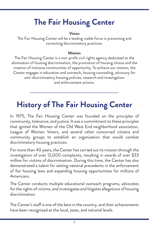## **The Fair Housing Center**

#### **Vision**

The Fair Housing Center will be a leading visible force in preventing and correcting discriminatory practices.

#### **Mission**

The Fair Housing Center is a non-profit civil rights agency dedicated to the elimination of housing discrimination, the promotion of housing choice and the creation of inclusive communities of opportunity. To achieve our mission, the Center engages in education and outreach, housing counseling, advocacy for anti-discriminatory housing policies, research and investigation and enforcement actions.

## **History of The Fair Housing Center**

In 1975, The Fair Housing Center was founded on the principles of community, tolerance, and justice. It was a commitment to these principles that ignited the Women of the Old West End neighborhood association, League of Women Voters, and several other concerned citizens and community groups to establish an organization that would combat discriminatory housing practices.

For more than 40 years, the Center has carried out its mission through the investigation of over 12,000 complaints, resulting in awards of over \$33 million for victims of discrimination. During this time, the Center has also demonstrated a talent for setting national precedents in the enforcement of fair housing laws and expanding housing opportunities for millions of Americans.

The Center conducts multiple educational outreach programs, advocates for the rights of victims, and investigates and litigates allegations of housing discrimination.

The Center's staff is one of the best in the country, and their achievements have been recognized at the local, state, and national levels.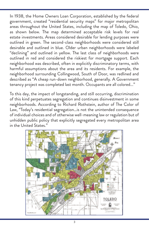In 1938, the Home Owners Loan Corporation, established by the federal government, created "residential security maps" for major metropolitan areas throughout the United States, including the map of Toledo, Ohio, as shown below. The map determined acceptable risk levels for real estate investments. Areas considered desirable for lending purposes were outlined in green. The second-class neighborhoods were considered still desirable and outlined in blue. Older urban neighborhoods were labeled "declining" and outlined in yellow. The last class of neighborhoods were outlined in red and considered the riskiest for mortgage support. Each neighborhood was described, often in explicitly discriminatory terms, with harmful assumptions about the area and its residents. For example, the neighborhood surrounding Collingwood, South of Door, was redlined and described as "A cheap run-down neighborhood, generally. A Government tenancy project was completed last month. Occupants are all colored..."

To this day, the impact of longstanding, and still occurring, discrimination of this kind perpetuates segregation and continues disinvestment in some neighborhoods. According to Richard Rothstein, author of The Color of Law, "Today's residential segregation…is not the unintended consequence of individual choices and of otherwise well-meaning law or regulation but of unhidden public policy that explicitly segregated every metropolitan area in the United States."

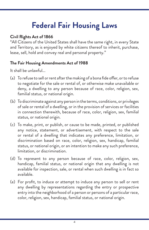## **Federal Fair Housing Laws**

### **Civil Rights Act of 1866**

"All Citizens of the United States shall have the same right, in every State and Territory, as is enjoyed by white citizens thereof to inherit, purchase, lease, sell, hold and convey real and personal property."

### **The Fair Housing Amendments Act of 1988**

It shall be unlawful...

- (a) To refuse to sell or rent after the making of a bona fide offer, or to refuse to negotiate for the sale or rental of, or otherwise make unavailable or deny, a dwelling to any person because of race, color, religion, sex, familial status, or national origin.
- (b) To discriminate against any person in the terms, conditions, or privileges of sale or rental of a dwelling, or in the provision of services or facilities in connection therewith, because of race, color, religion, sex, familial status, or national origin.
- (c) To make, print, or publish, or cause to be made, printed, or published any notice, statement, or advertisement, with respect to the sale or rental of a dwelling that indicates any preference, limitation, or discrimination based on race, color, religion, sex, handicap, familial status, or national origin, or an intention to make any such preference, limitation, or discrimination.
- (d) To represent to any person because of race, color, religion, sex, handicap, familial status, or national origin that any dwelling is not available for inspection, sale, or rental when such dwelling is in fact so available.
- (e) For profit, to induce or attempt to induce any person to sell or rent any dwelling by representations regarding the entry or prospective entry into the neighborhood of a person or persons of a particular race, color, religion, sex, handicap, familial status, or national origin.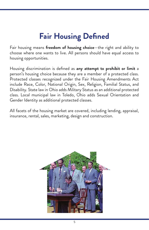## **Fair Housing Defined**

Fair housing means **freedom of housing choice**—the right and ability to choose where one wants to live. All persons should have equal access to housing opportunities.

Housing discrimination is defined as **any attempt to prohibit or limit** a person's housing choice because they are a member of a protected class. Protected classes recognized under the Fair Housing Amendments Act include Race, Color, National Origin, Sex, Religion, Familial Status, and Disability. State law in Ohio adds Military Status as an additional protected class. Local municipal law in Toledo, Ohio adds Sexual Orientation and Gender Identity as additional protected classes.

All facets of the housing market are covered, including lending, appraisal, insurance, rental, sales, marketing, design and construction.

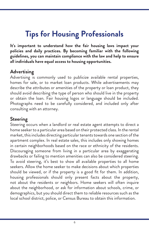## **Tips for Housing Professionals**

**It's important to understand how the fair housing laws impact your policies and daily practices. By becoming familiar with the following guidelines, you can maintain compliance with the law and help to ensure all individuals have equal access to housing opportunities.**

### **Advertising**

Advertising is commonly used to publicize available rental properties, homes for sale, or to market loan products. While advertisements may describe the attributes or amenities of the property or loan product, they should avoid describing the type of person who should live in the property or obtain the loan. Fair housing logos or language should be included. Photographs need to be carefully considered, and included only after consulting with an attorney.

### **Steering**

Steering occurs when a landlord or real estate agent attempts to direct a home seeker to a particular area based on their protected class. In the rental market, this includes directing particular tenants towards one section of the apartment complex. In real estate sales, this includes only showing homes in certain neighborhoods based on the race or ethnicity of the residents. Discouraging someone from living in a particular area by exaggerating drawbacks or failing to mention amenities can also be considered steering. To avoid steering, it's best to show all available properties to all home seekers. Allow the home seeker to make decisions about which properties should be viewed, or if the property is a good fit for them. In addition, housing professionals should only present facts about the property, not about the residents or neighbors. Home seekers will often inquire about the neighborhood, or ask for information about schools, crime, or demographics, but you should direct them to reliable resources such as the local school district, police, or Census Bureau to obtain this information.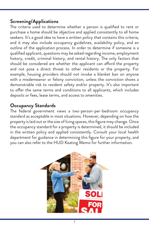### **Screening/Applications**

The criteria used to determine whether a person is qualified to rent or purchase a home should be objective and applied consistently to all home seekers. It's a good idea to have a written policy that contains this criteria, and it may also include occupancy guidelines, availability policy, and an outline of the application process. In order to determine if someone is a qualified applicant, questions may be asked regarding income, employment history, credit, criminal history, and rental history. The only factors that should be considered are whether the applicant can afford the property and not pose a direct threat to other residents or the property. For example, housing providers should not invoke a blanket ban on anyone with a misdemeanor or felony conviction, unless the conviction shows a demonstrable risk to resident safety and/or property. It's also important to offer the same terms and conditions to all applicants, which includes deposits or fees, lease terms, and access to amenities.

### **Occupancy Standards**

The federal government views a two-person-per-bedroom occupancy standard as acceptable in most situations. However, depending on how the property is laid out or the size of living spaces, this figure may change. Once the occupancy standard for a property is determined, it should be included in the written policy and applied consistently. Consult your local health department for guidance in determining this figure for your property, and you can also refer to the HUD Keating Memo for further information.

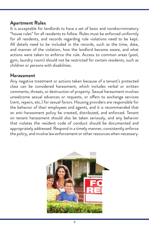### **Apartment Rules**

It is acceptable for landlords to have a set of basic and nondiscriminatory "house rules" for all residents to follow. Rules must be enforced uniformly for all residents, and records regarding rule violations need to be kept. All details need to be included in the records, such as the time, date, and manner of the violation, how the landlord became aware, and what actions were taken to enforce the rule. Access to common areas (pool, gym, laundry room) should not be restricted for certain residents, such as children or persons with disabilities.

### **Harassment**

Any negative treatment or actions taken because of a tenant's protected class can be considered harassment, which includes verbal or written comments, threats, or destruction of property. Sexual harassment involves unwelcome sexual advances or requests, or offers to exchange services (rent, repairs, etc.) for sexual favors. Housing providers are responsible for the behavior of their employees and agents, and it is recommended that an anti-harassment policy be created, distributed, and enforced. Tenant on tenant harassment should also be taken seriously, and any behavior that violates the resident code of conduct should be documented and appropriately addressed. Respond in a timely manner, consistently enforce the policy, and involve law enforcement or other resources when necessary.

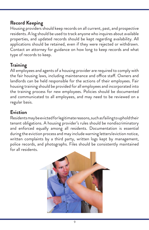### **Record Keeping**

Housing providers should keep records on all current, past, and prospective residents. A log should be used to track anyone who inquires about available properties, and updated records should be kept regarding availability. All applications should be retained, even if they were rejected or withdrawn. Contact an attorney for guidance on how long to keep records and what type of records to keep.

### **Training**

All employees and agents of a housing provider are required to comply with the fair housing laws, including maintenance and office staff. Owners and landlords can be held responsible for the actions of their employees. Fair housing training should be provided for all employees and incorporated into the training process for new employees. Policies should be documented and communicated to all employees, and may need to be reviewed on a regular basis.

### **Eviction**

Residents may be evicted for legitimate reasons, such as failing to uphold their tenant obligations. A housing provider's rules should be nondiscriminatory and enforced equally among all residents. Documentation is essential during the eviction process and may include warning letters/eviction notice, written complaints by a third party, written logs kept by management, police records, and photographs. Files should be consistently maintained for all residents.

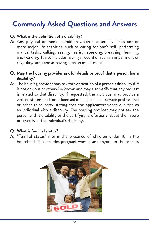## **Commonly Asked Questions and Answers**

#### **Q: What is the definition of a disability?**

- **A:** Any physical or mental condition which substantially limits one or more major life activities, such as caring for one's self, performing manual tasks, walking, seeing, hearing, speaking, breathing, learning, and working. It also includes having a record of such an impairment or regarding someone as having such an impairment.
- **Q: May the housing provider ask for details or proof that a person has a disability?**
- **A:** The housing provider may ask for verification of a person's disability if it is not obvious or otherwise known and may also verify that any request is related to that disability. If requested, the individual may provide a written statement from a licensed medical or social service professional or other third party stating that the applicant/resident qualifies as an individual with a disability. The housing provider may not ask the person with a disability or the certifying professional about the nature or severity of the individual's disability.

#### **Q: What is familial status?**

**A:** "Familial status" means the presence of children under 18 in the household. This includes pregnant women and anyone in the process

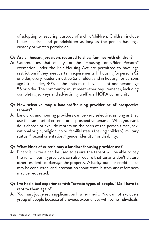of adopting or securing custody of a child/children. Children include foster children and grandchildren as long as the person has legal custody or written permission.

- **Q: Are all housing providers required to allow families with children?**
- **A:** Communities that qualify for the "Housing for Older Persons" exemption under the Fair Housing Act are permitted to have age restrictions if they meet certain requirements. In housing for persons 62 or older, every resident must be 62 or older, and in housing for persons age 55 or older, 80% of the units must have at least one person age 55 or older. The community must meet other requirements, including completing surveys and advertising itself as a HOPA community.
- **Q: How selective may a landlord/housing provider be of prospective tenants?**
- **A:** Landlords and housing providers can be very selective, as long as they use the same set of criteria for all prospective tenants. What you can't do is choose or exclude renters on the basis of the person's race, sex, national origin, religion, color, familial status (having children), military status,\*\* sexual orientation,\* gender identity,\* or disability.
- **Q: What kinds of criteria may a landlord/housing provider use?**
- **A:** Financial criteria can be used to assure the tenant will be able to pay the rent. Housing providers can also require that tenants don't disturb other residents or damage the property. A background or credit check may be conducted, and information about rental history and references may be requested.
- **Q: I've had a bad experience with "certain types of people." Do I have to rent to them again?**
- **A:** You must judge each applicant on his/her merit. You cannot exclude a group of people because of previous experiences with some individuals.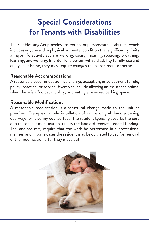## **Special Considerations for Tenants with Disabilities**

The Fair Housing Act provides protection for persons with disabilities, which includes anyone with a physical or mental condition that significantly limits a major life activity such as walking, seeing, hearing, speaking, breathing, learning, and working. In order for a person with a disability to fully use and enjoy their home, they may require changes to an apartment or house.

### **Reasonable Accommodations**

A reasonable accommodation is a change, exception, or adjustment to rule, policy, practice, or service. Examples include allowing an assistance animal when there is a "no pets" policy, or creating a reserved parking space.

### **Reasonable Modifications**

A reasonable modification is a structural change made to the unit or premises. Examples include installation of ramps or grab bars, widening doorways, or lowering countertops. The resident typically absorbs the cost of a reasonable modification, unless the landlord receives federal funding. The landlord may require that the work be performed in a professional manner, and in some cases the resident may be obligated to pay for removal of the modification after they move out.

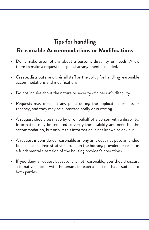## **Tips for handling Reasonable Accommodations or Modifications**

- Don't make assumptions about a person's disability or needs. Allow them to make a request if a special arrangement is needed.
- Create, distribute, and train all staff on the policy for handling reasonable accommodations and modifications.
- Do not inquire about the nature or severity of a person's disability.
- Requests may occur at any point during the application process or tenancy, and they may be submitted orally or in writing.
- A request should be made by or on behalf of a person with a disability. Information may be required to verify the disability and need for the accommodation, but only if this information is not known or obvious.
- A request is considered reasonable as long as it does not pose an undue financial and administrative burden on the housing provider, or result in a fundamental alteration of the housing provider's operations.
- If you deny a request because it is not reasonable, you should discuss alternative options with the tenant to reach a solution that is suitable to both parties.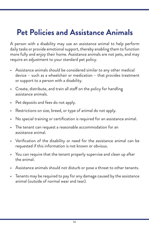## **Pet Policies and Assistance Animals**

A person with a disability may use an assistance animal to help perform daily tasks or provide emotional support, thereby enabling them to function more fully and enjoy their home. Assistance animals are not pets, and may require an adjustment to your standard pet policy.

- Assistance animals should be considered similar to any other medical device – such as a wheelchair or medication – that provides treatment or support to a person with a disability.
- Create, distribute, and train all staff on the policy for handling assistance animals.
- Pet deposits and fees do not apply.
- Restrictions on size, breed, or type of animal do not apply.
- No special training or certification is required for an assistance animal.
- The tenant can request a reasonable accommodation for an assistance animal.
- Verification of the disability or need for the assistance animal can be requested if this information is not known or obvious.
- You can require that the tenant properly supervise and clean up after the animal.
- Assistance animals should not disturb or pose a threat to other tenants.
- Tenants may be required to pay for any damage caused by the assistance animal (outside of normal wear and tear).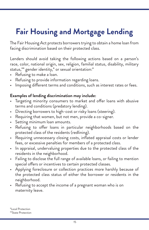## **Fair Housing and Mortgage Lending**

The Fair Housing Act protects borrowers trying to obtain a home loan from facing discrimination based on their protected class.

Lenders should avoid taking the following actions based on a person's race, color, national origin, sex, religion, familial status, disability, military status,\*\* gender identity,\* or sexual orientation:\*

- Refusing to make a loan.
- Refusing to provide information regarding loans.
- Imposing different terms and conditions, such as interest rates or fees.

#### **Examples of lending discrimination may include:**

- Targeting minority consumers to market and offer loans with abusive terms and conditions (predatory lending).
- Directing borrowers to high-cost or risky loans (steering).
- Requiring that women, but not men, provide a co-signer.
- Setting minimum loan amounts.
- Refusing to offer loans in particular neighborhoods based on the protected class of the residents (redlining).
- Requiring unnecessary closing costs, inflated appraisal costs or lender fees, or excessive penalties for members of a protected class.
- In appraisal, undervaluing properties due to the protected class of the residents in the neighborhood.
- Failing to disclose the full range of available loans, or failing to mention special offers or incentives to certain protected classes.
- Applying foreclosure or collection practices more harshly because of the protected class status of either the borrower or residents in the neighborhood.
- Refusing to accept the income of a pregnant woman who is on maternity leave.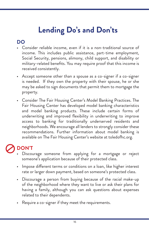## **Lending Do's and Don'ts**

## **DO**

- Consider reliable income, even if it is a non-traditional source of income. This includes public assistance, part-time employment, Social Security, pensions, alimony, child support, and disability or military-related benefits. You may require proof that this income is received consistently.
- Accept someone other than a spouse as a co-signer if a co-signer is needed. If they own the property with their spouse, he or she may be asked to sign documents that permit them to mortgage the property.
- Consider The Fair Housing Center's Model Banking Practices. The Fair Housing Center has developed model banking characteristics and model banking products. These include certain forms of underwriting and improved flexibility in underwriting to improve access to banking for traditionally underserved residents and neighborhoods. We encourage all lenders to strongly consider these recommendations. Further information about model banking is available on The Fair Housing Center's website at toledofhc.org.

## **DON'T**

- Discourage someone from applying for a mortgage or reject someone's application because of their protected class.
- Impose different terms or conditions on a loan, like higher interest rate or larger down payment, based on someone's protected class.
- Discourage a person from buying because of the racial make-up of the neighborhood where they want to live or ask their plans for having a family, although you can ask questions about expenses related to their dependents.
- Require a co-signer if they meet the requirements.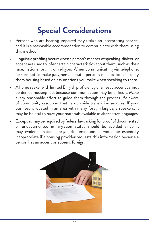## **Special Considerations**

- Persons who are hearing-impaired may utilize an interpreting service, and it is a reasonable accommodation to communicate with them using this method.
- Linguistic profiling occurs when a person's manner of speaking, dialect, or accent are used to infer certain characteristics about them, such as their race, national origin, or religion. When communicating via telephone, be sure not to make judgments about a person's qualifications or deny them housing based on assumptions you make when speaking to them.
- A home seeker with limited English proficiency or a heavy accent cannot be denied housing just because communication may be difficult. Make every reasonable effort to guide them through the process. Be aware of community resources that can provide translation services. If your business is located in an area with many foreign language speakers, it may be helpful to have your materials available in alternative languages.
- Except as may be required by federal law, asking for proof of documented or undocumented immigration status should be avoided since it may evidence national origin discrimination. It would be especially inappropriate if a housing provider requests this information because a person has an accent or appears foreign.

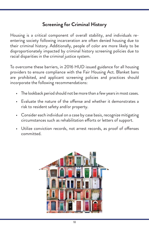### **Screening for Criminal History**

Housing is a critical component of overall stability, and individuals reentering society following incarceration are often denied housing due to their criminal history. Additionally, people of color are more likely to be disproportionately impacted by criminal history screening policies due to racial disparities in the criminal justice system.

To overcome these barriers, in 2016 HUD issued guidance for all housing providers to ensure compliance with the Fair Housing Act. Blanket bans are prohibited, and applicant screening policies and practices should incorporate the following recommendations:

- The lookback period should not be more than a few years in most cases.
- Evaluate the nature of the offense and whether it demonstrates a risk to resident safety and/or property.
- Consider each individual on a case by case basis, recognize mitigating circumstances such as rehabilitation efforts or letters of support.
- Utilize conviction records, not arrest records, as proof of offenses committed.

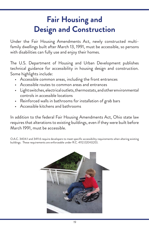## **Fair Housing and Design and Construction**

Under the Fair Housing Amendments Act, newly constructed multifamily dwellings built after March 13, 1991, must be accessible, so persons with disabilities can fully use and enjoy their homes.

The U.S. Department of Housing and Urban Development publishes technical guidance for accessibility in housing design and construction. Some highlights include:

- Accessible common areas, including the front entrances
- Accessible routes to common areas and entrances
- Light switches, electrical outlets, thermostats, and other environmental controls in accessible locations
- Reinforced walls in bathrooms for installation of grab bars
- Accessible kitchens and bathrooms

In addition to the federal Fair Housing Amendments Act, Ohio state law requires that alterations to existing buildings, even if they were built before March 1991, must be accessible.

O.A.C. 3404.1 and 3411.6 require developers to meet specific accessibility requirements when altering existing buildings. These requirements are enforceable under R.C. 4112.02(H)(20).

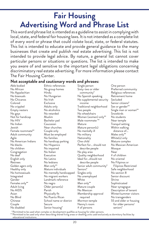## **Fair Housing Advertising Word and Phrase List**

This word and phrase list is intended as a guideline to assist in complying with local, state, and federal fair housing laws. It is not intended as a complete list of every word or phrase that could violate local, state, or federal statutes. This list is intended to educate and provide general guidance to the many businesses that create and publish real estate advertising. This list is not intended to provide legal advice. By nature, a general list cannot cover particular persons or situations or questions. The list is intended to make you aware of and sensitive to the important legal obligations concerning discriminatory real estate advertising. For more information please contact The Fair Housing Center.

#### **Not acceptable and cautionary words and phrases:**

Able bodied No African No Appalachian No bisexuals No Chicanos Colored No crippled Empty nesters No gays Not for handicap No HIV No Indian Jewish Female roommate\*\* Adult community Agile No American Indians No blacks No children Congregation No deaf English only Retirees Golden agers only Healthy only No homosexuals Integrated Gender Females only\*\* Adult living No AIDS Asian No Blind Chinese Couple No disabled

Ethnic references No group homes Hindu No Hungarian No Irish **Exclusive** Adults only No alcoholics No retarded Muslim Bachelor pad Caucasian Near churches Couple only Must be employed No families No handicap parking No Hispanics No impaired No Italian **Executive** No Latino No lesbians Man only\*\* Mature individuals No mentally handicapped No migrant workers Landmark reference No negro Older person(s) Parish Physically fit No Puerto Rican School name or district Secure Senior housing\*

Single person Sixty-two or older community\* No Spanish speaking No supplemental security income Traditional neighborhood Two people No wheelchairs Woman (women) only\*\* Male roommate \*\* Mature Mature person(s) No mentally ill No military **Nationality** One child Perfect for... should not describe people No play area Quality neighborhood Ideal for…should not describe people Senior adult community\* Seniors\* Singles only No unemployed **White** Men only\*\* Mature couple No Mexican Membership approval required Mormon temple Nanny's room # of persons

One person Preferred community Religious references Retirement home Secluded Senior citizens\* Sex or gender\*\* Single man or woman\*\* **Snowbirds** No students Near temple Tranquil setting Within walking distance of… Males only\*\* White(s) only Mature complex No Mexican American Mosque Near # of children No oriental No Filipinos or Filipinos Restricted Safe neighborhood No section 8 Senior discount Shrine Sophisticated Near synagogue Description of tenant Winter/summer visitors No transgenders 55 and older or housing for older persons/ seniors\*

\*Permitted to be used when complex or development qualifies as housing for older persons.<br>\*\*Permitted to be used only when describing shared living areas or dwelling units used exclusively as dormitory facilities by<br>educat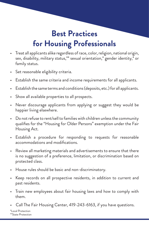## **Best Practices for Housing Professionals**

- Treat all applicants alike regardless of race, color, religion, national origin, sex, disability, military status,\*\* sexual orientation,\* gender identity,\* or family status.
- Set reasonable eligibility criteria.
- Establish the same criteria and income requirements for all applicants.
- Establish the same terms and conditions (deposits, etc.) for all applicants.
- Show all available properties to all prospects.
- Never discourage applicants from applying or suggest they would be happier living elsewhere.
- Do not refuse to rent/sell to families with children unless the community qualifies for the "Housing for Older Persons" exemption under the Fair Housing Act.
- Establish a procedure for responding to requests for reasonable accommodations and modifications.
- Review all marketing materials and advertisements to ensure that there is no suggestion of a preference, limitation, or discrimination based on protected class.
- House rules should be basic and non-discriminatory.
- Keep records on all prospective residents, in addition to current and past residents.
- Train new employees about fair housing laws and how to comply with them.
- Call The Fair Housing Center, 419-243-6163, if you have questions.

\*Local Protection \*\*State Protection